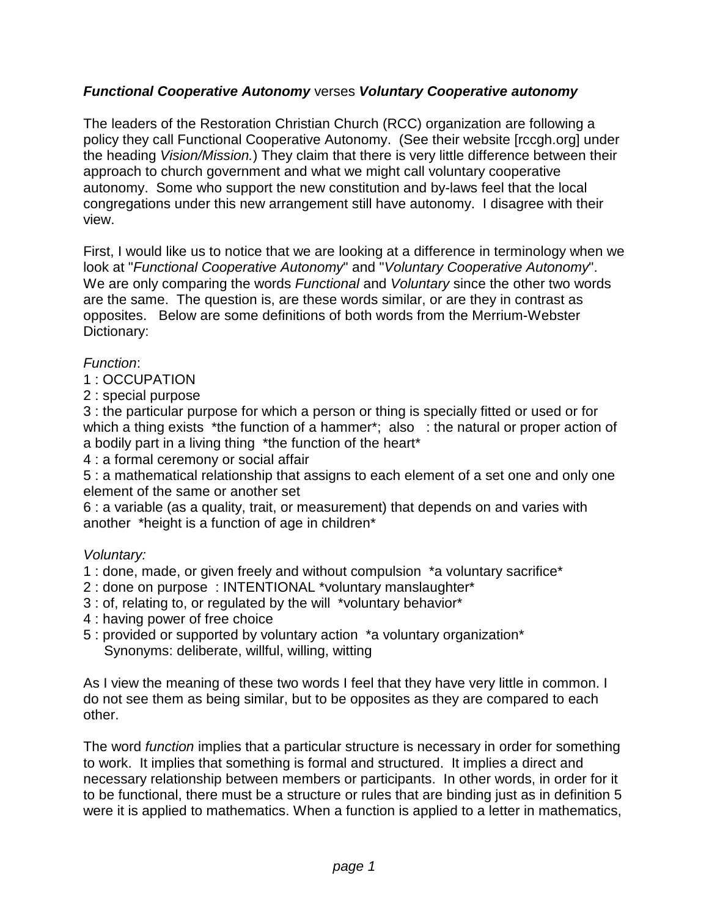## **Functional Cooperative Autonomy** verses **Voluntary Cooperative autonomy**

The leaders of the Restoration Christian Church (RCC) organization are following a policy they call Functional Cooperative Autonomy. (See their website [rccgh.org] under the heading Vision/Mission.) They claim that there is very little difference between their approach to church government and what we might call voluntary cooperative autonomy. Some who support the new constitution and by-laws feel that the local congregations under this new arrangement still have autonomy. I disagree with their view.

First, I would like us to notice that we are looking at a difference in terminology when we look at "Functional Cooperative Autonomy" and "Voluntary Cooperative Autonomy". We are only comparing the words Functional and Voluntary since the other two words are the same. The question is, are these words similar, or are they in contrast as opposites. Below are some definitions of both words from the Merrium-Webster Dictionary:

### Function:

- 1 : OCCUPATION
- 2 : special purpose

3 : the particular purpose for which a person or thing is specially fitted or used or for which a thing exists \*the function of a hammer\*; also : the natural or proper action of a bodily part in a living thing \*the function of the heart\*

4 : a formal ceremony or social affair

5 : a mathematical relationship that assigns to each element of a set one and only one element of the same or another set

6 : a variable (as a quality, trait, or measurement) that depends on and varies with another \*height is a function of age in children\*

#### Voluntary:

1 : done, made, or given freely and without compulsion \*a voluntary sacrifice\*

- 2 : done on purpose : INTENTIONAL \*voluntary manslaughter\*
- 3 : of, relating to, or regulated by the will \*voluntary behavior\*
- 4 : having power of free choice
- 5 : provided or supported by voluntary action \*a voluntary organization\* Synonyms: deliberate, willful, willing, witting

As I view the meaning of these two words I feel that they have very little in common. I do not see them as being similar, but to be opposites as they are compared to each other.

The word *function* implies that a particular structure is necessary in order for something to work. It implies that something is formal and structured. It implies a direct and necessary relationship between members or participants. In other words, in order for it to be functional, there must be a structure or rules that are binding just as in definition 5 were it is applied to mathematics. When a function is applied to a letter in mathematics,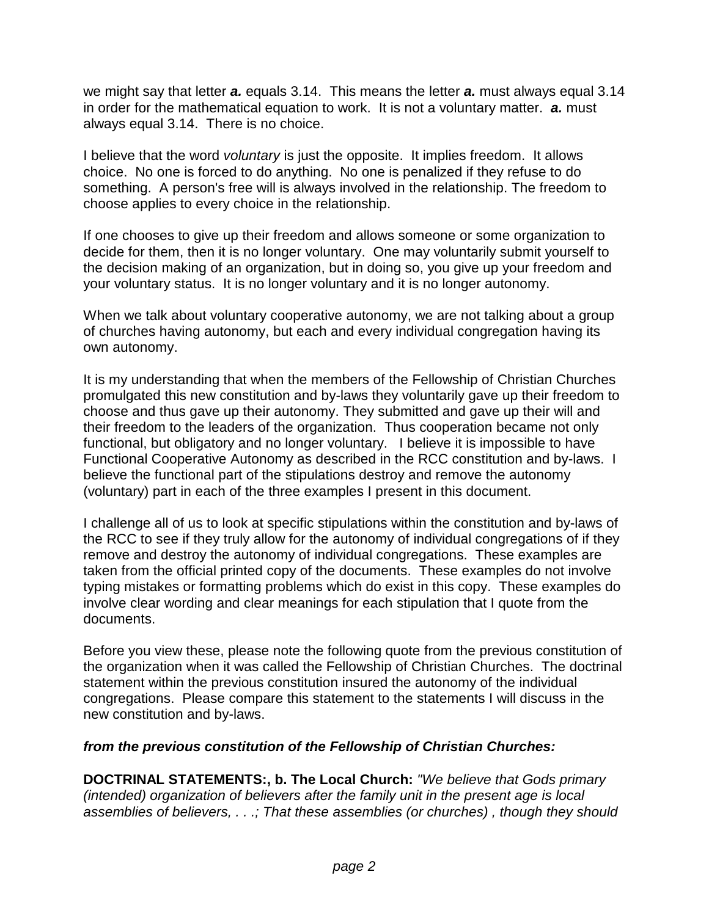we might say that letter **a.** equals 3.14. This means the letter **a.** must always equal 3.14 in order for the mathematical equation to work. It is not a voluntary matter. **a.** must always equal 3.14. There is no choice.

I believe that the word *voluntary* is just the opposite. It implies freedom. It allows choice. No one is forced to do anything. No one is penalized if they refuse to do something. A person's free will is always involved in the relationship. The freedom to choose applies to every choice in the relationship.

If one chooses to give up their freedom and allows someone or some organization to decide for them, then it is no longer voluntary. One may voluntarily submit yourself to the decision making of an organization, but in doing so, you give up your freedom and your voluntary status. It is no longer voluntary and it is no longer autonomy.

When we talk about voluntary cooperative autonomy, we are not talking about a group of churches having autonomy, but each and every individual congregation having its own autonomy.

It is my understanding that when the members of the Fellowship of Christian Churches promulgated this new constitution and by-laws they voluntarily gave up their freedom to choose and thus gave up their autonomy. They submitted and gave up their will and their freedom to the leaders of the organization. Thus cooperation became not only functional, but obligatory and no longer voluntary. I believe it is impossible to have Functional Cooperative Autonomy as described in the RCC constitution and by-laws. I believe the functional part of the stipulations destroy and remove the autonomy (voluntary) part in each of the three examples I present in this document.

I challenge all of us to look at specific stipulations within the constitution and by-laws of the RCC to see if they truly allow for the autonomy of individual congregations of if they remove and destroy the autonomy of individual congregations. These examples are taken from the official printed copy of the documents. These examples do not involve typing mistakes or formatting problems which do exist in this copy. These examples do involve clear wording and clear meanings for each stipulation that I quote from the documents.

Before you view these, please note the following quote from the previous constitution of the organization when it was called the Fellowship of Christian Churches. The doctrinal statement within the previous constitution insured the autonomy of the individual congregations. Please compare this statement to the statements I will discuss in the new constitution and by-laws.

## **from the previous constitution of the Fellowship of Christian Churches:**

**DOCTRINAL STATEMENTS:, b. The Local Church:** "We believe that Gods primary (intended) organization of believers after the family unit in the present age is local assemblies of believers, . . .; That these assemblies (or churches) , though they should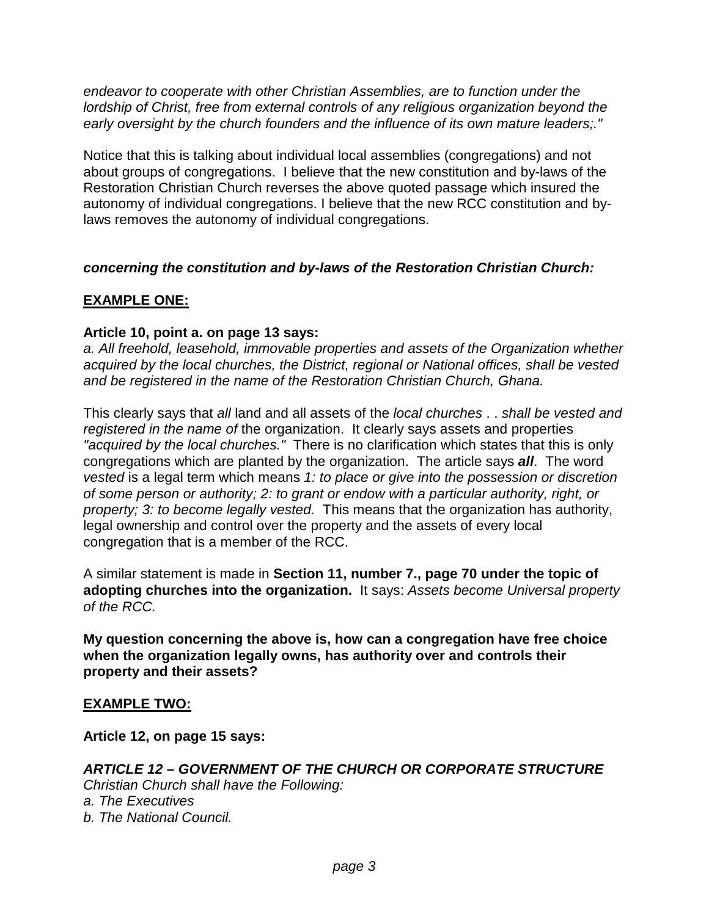endeavor to cooperate with other Christian Assemblies, are to function under the lordship of Christ, free from external controls of any religious organization beyond the early oversight by the church founders and the influence of its own mature leaders;."

Notice that this is talking about individual local assemblies (congregations) and not about groups of congregations. I believe that the new constitution and by-laws of the Restoration Christian Church reverses the above quoted passage which insured the autonomy of individual congregations. I believe that the new RCC constitution and bylaws removes the autonomy of individual congregations.

#### **concerning the constitution and by-laws of the Restoration Christian Church:**

# **EXAMPLE ONE:**

### **Article 10, point a. on page 13 says:**

a. All freehold, leasehold, immovable properties and assets of the Organization whether acquired by the local churches, the District, regional or National offices, shall be vested and be registered in the name of the Restoration Christian Church, Ghana.

This clearly says that all land and all assets of the local churches . . shall be vested and registered in the name of the organization. It clearly says assets and properties "acquired by the local churches." There is no clarification which states that this is only congregations which are planted by the organization. The article says **all**. The word vested is a legal term which means 1: to place or give into the possession or discretion of some person or authority; 2: to grant or endow with a particular authority, right, or property; 3: to become legally vested. This means that the organization has authority, legal ownership and control over the property and the assets of every local congregation that is a member of the RCC.

A similar statement is made in **Section 11, number 7., page 70 under the topic of adopting churches into the organization.** It says: Assets become Universal property of the RCC.

**My question concerning the above is, how can a congregation have free choice when the organization legally owns, has authority over and controls their property and their assets?**

#### **EXAMPLE TWO:**

**Article 12, on page 15 says:**

## **ARTICLE 12 – GOVERNMENT OF THE CHURCH OR CORPORATE STRUCTURE**

Christian Church shall have the Following: a. The Executives b. The National Council.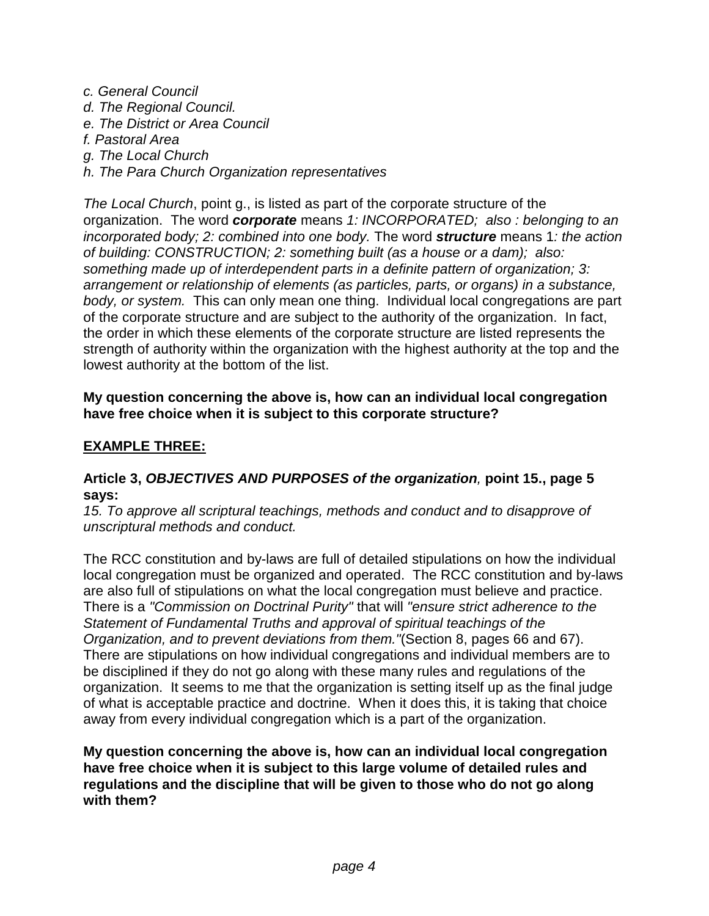- c. General Council d. The Regional Council. e. The District or Area Council f. Pastoral Area
- g. The Local Church
- h. The Para Church Organization representatives

The Local Church, point g., is listed as part of the corporate structure of the organization. The word **corporate** means 1: INCORPORATED; also : belonging to an incorporated body; 2: combined into one body. The word **structure** means 1: the action of building: CONSTRUCTION; 2: something built (as a house or a dam); also: something made up of interdependent parts in a definite pattern of organization; 3: arrangement or relationship of elements (as particles, parts, or organs) in a substance, body, or system. This can only mean one thing. Individual local congregations are part of the corporate structure and are subject to the authority of the organization. In fact, the order in which these elements of the corporate structure are listed represents the strength of authority within the organization with the highest authority at the top and the lowest authority at the bottom of the list.

### **My question concerning the above is, how can an individual local congregation have free choice when it is subject to this corporate structure?**

## **EXAMPLE THREE:**

#### **Article 3, OBJECTIVES AND PURPOSES of the organization**, **point 15., page 5 says:**

15. To approve all scriptural teachings, methods and conduct and to disapprove of unscriptural methods and conduct.

The RCC constitution and by-laws are full of detailed stipulations on how the individual local congregation must be organized and operated. The RCC constitution and by-laws are also full of stipulations on what the local congregation must believe and practice. There is a "Commission on Doctrinal Purity" that will "ensure strict adherence to the Statement of Fundamental Truths and approval of spiritual teachings of the Organization, and to prevent deviations from them."(Section 8, pages 66 and 67). There are stipulations on how individual congregations and individual members are to be disciplined if they do not go along with these many rules and regulations of the organization. It seems to me that the organization is setting itself up as the final judge of what is acceptable practice and doctrine. When it does this, it is taking that choice away from every individual congregation which is a part of the organization.

**My question concerning the above is, how can an individual local congregation have free choice when it is subject to this large volume of detailed rules and regulations and the discipline that will be given to those who do not go along with them?**